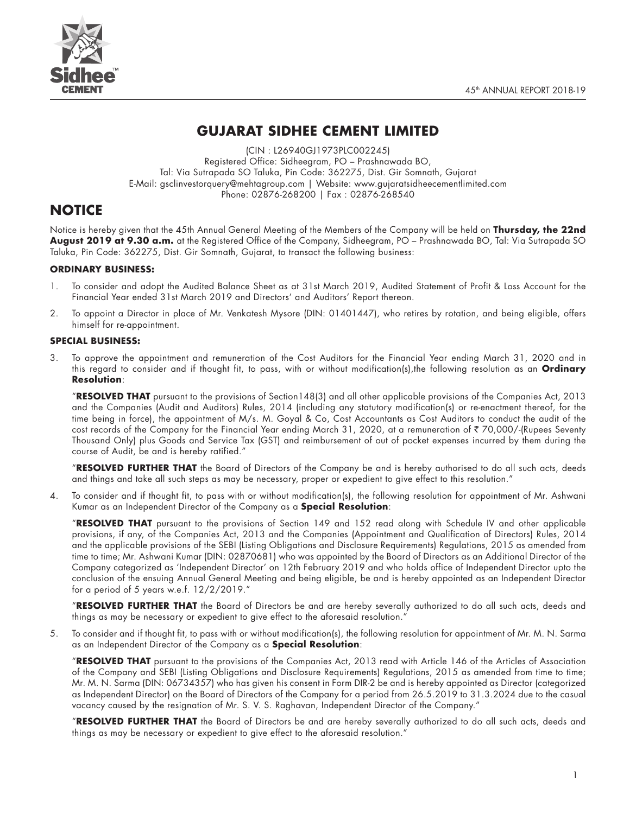



# **GUJARAT SIDHEE CEMENT LIMITED**

(CIN : L26940GJ1973PLC002245) Registered Office: Sidheegram, PO – Prashnawada BO, Tal: Via Sutrapada SO Taluka, Pin Code: 362275, Dist. Gir Somnath, Gujarat E-Mail: gsclinvestorquery@mehtagroup.com | Website: www.gujaratsidheecementlimited.com Phone: 02876-268200 | Fax : 02876-268540

# **NOTICE**

Notice is hereby given that the 45th Annual General Meeting of the Members of the Company will be held on **Thursday, the 22nd August 2019 at 9.30 a.m.** at the Registered Office of the Company, Sidheegram, PO – Prashnawada BO, Tal: Via Sutrapada SO Taluka, Pin Code: 362275, Dist. Gir Somnath, Gujarat, to transact the following business:

## **ORDINARY BUSINESS:**

- 1. To consider and adopt the Audited Balance Sheet as at 31st March 2019, Audited Statement of Profit & Loss Account for the Financial Year ended 31st March 2019 and Directors' and Auditors' Report thereon.
- 2. To appoint a Director in place of Mr. Venkatesh Mysore (DIN: 01401447), who retires by rotation, and being eligible, offers himself for re-appointment.

## **SPECIAL BUSINESS:**

3. To approve the appointment and remuneration of the Cost Auditors for the Financial Year ending March 31, 2020 and in this regard to consider and if thought fit, to pass, with or without modification(s),the following resolution as an **Ordinary Resolution**:

"**RESOLVED THAT** pursuant to the provisions of Section148(3) and all other applicable provisions of the Companies Act, 2013 and the Companies (Audit and Auditors) Rules, 2014 (including any statutory modification(s) or re-enactment thereof, for the time being in force), the appointment of M/s. M. Goyal & Co, Cost Accountants as Cost Auditors to conduct the audit of the cost records of the Company for the Financial Year ending March 31, 2020, at a remuneration of ₹70,000/-(Rupees Seventy Thousand Only) plus Goods and Service Tax (GST) and reimbursement of out of pocket expenses incurred by them during the course of Audit, be and is hereby ratified."

"**RESOLVED FURTHER THAT** the Board of Directors of the Company be and is hereby authorised to do all such acts, deeds and things and take all such steps as may be necessary, proper or expedient to give effect to this resolution."

4. To consider and if thought fit, to pass with or without modification(s), the following resolution for appointment of Mr. Ashwani Kumar as an Independent Director of the Company as a **Special Resolution**:

"**RESOLVED THAT** pursuant to the provisions of Section 149 and 152 read along with Schedule IV and other applicable provisions, if any, of the Companies Act, 2013 and the Companies (Appointment and Qualification of Directors) Rules, 2014 and the applicable provisions of the SEBI (Listing Obligations and Disclosure Requirements) Regulations, 2015 as amended from time to time; Mr. Ashwani Kumar (DIN: 02870681) who was appointed by the Board of Directors as an Additional Director of the Company categorized as 'Independent Director' on 12th February 2019 and who holds office of Independent Director upto the conclusion of the ensuing Annual General Meeting and being eligible, be and is hereby appointed as an Independent Director for a period of 5 years w.e.f. 12/2/2019."

"**RESOLVED FURTHER THAT** the Board of Directors be and are hereby severally authorized to do all such acts, deeds and things as may be necessary or expedient to give effect to the aforesaid resolution."

5. To consider and if thought fit, to pass with or without modification(s), the following resolution for appointment of Mr. M. N. Sarma as an Independent Director of the Company as a **Special Resolution**:

"**RESOLVED THAT** pursuant to the provisions of the Companies Act, 2013 read with Article 146 of the Articles of Association of the Company and SEBI (Listing Obligations and Disclosure Requirements) Regulations, 2015 as amended from time to time; Mr. M. N. Sarma (DIN: 06734357) who has given his consent in Form DIR-2 be and is hereby appointed as Director (categorized as Independent Director) on the Board of Directors of the Company for a period from 26.5.2019 to 31.3.2024 due to the casual vacancy caused by the resignation of Mr. S. V. S. Raghavan, Independent Director of the Company."

"**RESOLVED FURTHER THAT** the Board of Directors be and are hereby severally authorized to do all such acts, deeds and things as may be necessary or expedient to give effect to the aforesaid resolution."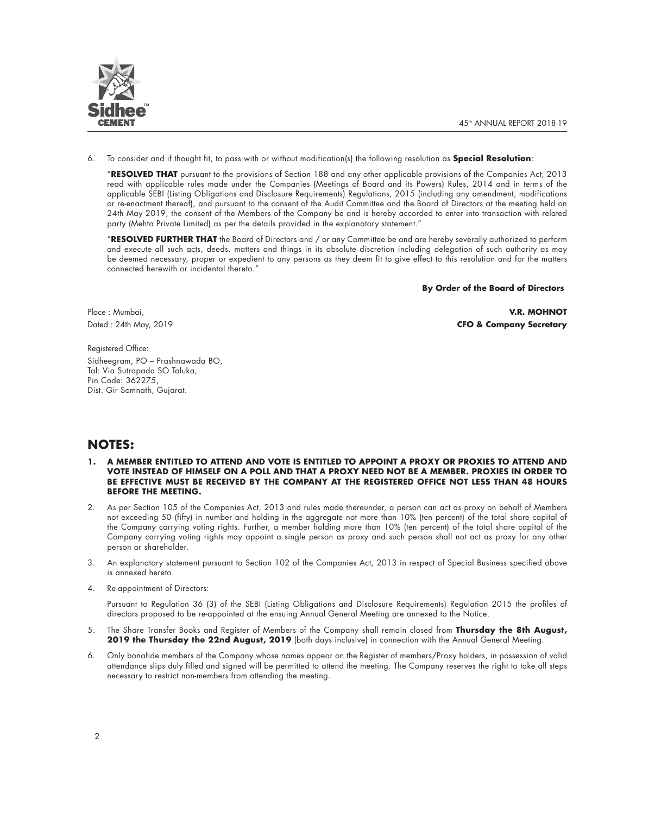

6. To consider and if thought fit, to pass with or without modification(s) the following resolution as **Special Resolution**:

"**RESOLVED THAT** pursuant to the provisions of Section 188 and any other applicable provisions of the Companies Act, 2013 read with applicable rules made under the Companies (Meetings of Board and its Powers) Rules, 2014 and in terms of the applicable SEBI (Listing Obligations and Disclosure Requirements) Regulations, 2015 (including any amendment, modifications or re-enactment thereof), and pursuant to the consent of the Audit Committee and the Board of Directors at the meeting held on 24th May 2019, the consent of the Members of the Company be and is hereby accorded to enter into transaction with related party (Mehta Private Limited) as per the details provided in the explanatory statement."

"**RESOLVED FURTHER THAT** the Board of Directors and / or any Committee be and are hereby severally authorized to perform and execute all such acts, deeds, matters and things in its absolute discretion including delegation of such authority as may be deemed necessary, proper or expedient to any persons as they deem fit to give effect to this resolution and for the matters connected herewith or incidental thereto."

**By Order of the Board of Directors**

Place : Mumbai, **V.R. MOHNOT** Dated : 24th May, 2019 **CFO & Company Secretary**

Registered Office: Sidheegram, PO – Prashnawada BO, Tal: Via Sutrapada SO Taluka, Pin Code: 362275, Dist. Gir Somnath, Gujarat.

# **NOTES:**

- **1. A MEMBER ENTITLED TO ATTEND AND VOTE IS ENTITLED TO APPOINT A PROXY OR PROXIES TO ATTEND AND VOTE INSTEAD OF HIMSELF ON A POLL AND THAT A PROXY NEED NOT BE A MEMBER. PROXIES IN ORDER TO BE EFFECTIVE MUST BE RECEIVED BY THE COMPANY AT THE REGISTERED OFFICE NOT LESS THAN 48 HOURS BEFORE THE MEETING.**
- 2. As per Section 105 of the Companies Act, 2013 and rules made thereunder, a person can act as proxy on behalf of Members not exceeding 50 (fifty) in number and holding in the aggregate not more than 10% (ten percent) of the total share capital of the Company carrying voting rights. Further, a member holding more than 10% (ten percent) of the total share capital of the Company carrying voting rights may appoint a single person as proxy and such person shall not act as proxy for any other person or shareholder.
- 3. An explanatory statement pursuant to Section 102 of the Companies Act, 2013 in respect of Special Business specified above is annexed hereto.
- 4. Re-appointment of Directors:

Pursuant to Regulation 36 (3) of the SEBI (Listing Obligations and Disclosure Requirements) Regulation 2015 the profiles of directors proposed to be re-appointed at the ensuing Annual General Meeting are annexed to the Notice.

- 5. The Share Transfer Books and Register of Members of the Company shall remain closed from **Thursday the 8th August,**  2019 the Thursday the 22nd August, 2019 (both days inclusive) in connection with the Annual General Meeting.
- 6. Only bonafide members of the Company whose names appear on the Register of members/Proxy holders, in possession of valid attendance slips duly filled and signed will be permitted to attend the meeting. The Company reserves the right to take all steps necessary to restrict non-members from attending the meeting.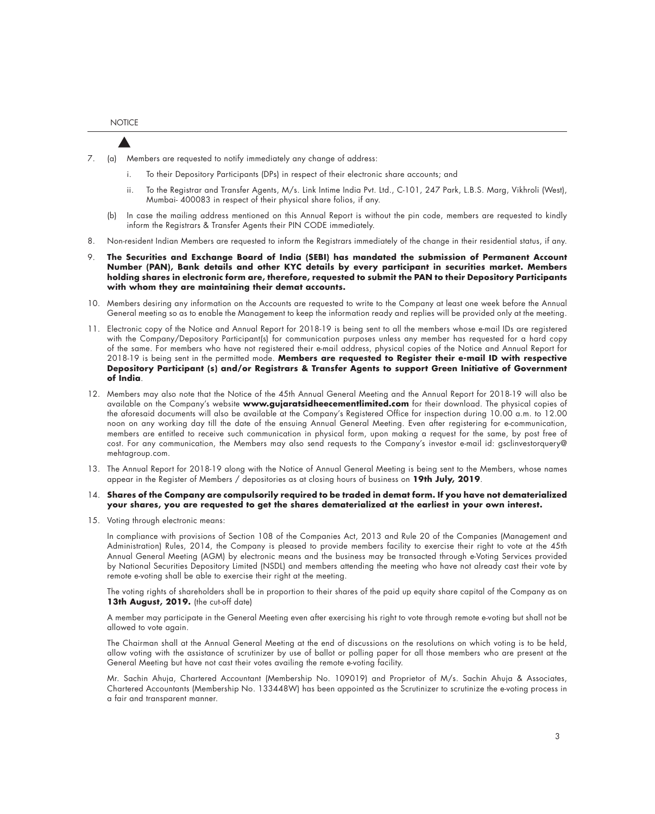**NOTICE** 

- 7. (a) Members are requested to notify immediately any change of address:
	- i. To their Depository Participants (DPs) in respect of their electronic share accounts; and
	- ii. To the Registrar and Transfer Agents, M/s. Link Intime India Pvt. Ltd., C-101, 247 Park, L.B.S. Marg, Vikhroli (West), Mumbai- 400083 in respect of their physical share folios, if any.
	- (b) In case the mailing address mentioned on this Annual Report is without the pin code, members are requested to kindly inform the Registrars & Transfer Agents their PIN CODE immediately.
- 8. Non-resident Indian Members are requested to inform the Registrars immediately of the change in their residential status, if any.
- 9. **The Securities and Exchange Board of India (SEBI) has mandated the submission of Permanent Account Number (PAN), Bank details and other KYC details by every participant in securities market. Members holding shares in electronic form are, therefore, requested to submit the PAN to their Depository Participants with whom they are maintaining their demat accounts.**
- 10. Members desiring any information on the Accounts are requested to write to the Company at least one week before the Annual General meeting so as to enable the Management to keep the information ready and replies will be provided only at the meeting.
- 11. Electronic copy of the Notice and Annual Report for 2018-19 is being sent to all the members whose e-mail IDs are registered with the Company/Depository Participant(s) for communication purposes unless any member has requested for a hard copy of the same. For members who have not registered their e-mail address, physical copies of the Notice and Annual Report for 2018-19 is being sent in the permitted mode. **Members are requested to Register their e-mail ID with respective Depository Participant (s) and/or Registrars & Transfer Agents to support Green Initiative of Government of India**.
- 12. Members may also note that the Notice of the 45th Annual General Meeting and the Annual Report for 2018-19 will also be available on the Company's website **www.gujaratsidheecementlimited.com** for their download. The physical copies of the aforesaid documents will also be available at the Company's Registered Office for inspection during 10.00 a.m. to 12.00 noon on any working day till the date of the ensuing Annual General Meeting. Even after registering for e-communication, members are entitled to receive such communication in physical form, upon making a request for the same, by post free of cost. For any communication, the Members may also send requests to the Company's investor e-mail id: gsclinvestorquery@ mehtagroup.com.
- 13. The Annual Report for 2018-19 along with the Notice of Annual General Meeting is being sent to the Members, whose names appear in the Register of Members / depositories as at closing hours of business on **19th July, 2019**.
- 14. **Shares of the Company are compulsorily required to be traded in demat form. If you have not dematerialized your shares, you are requested to get the shares dematerialized at the earliest in your own interest.**
- 15. Voting through electronic means:

In compliance with provisions of Section 108 of the Companies Act, 2013 and Rule 20 of the Companies (Management and Administration) Rules, 2014, the Company is pleased to provide members facility to exercise their right to vote at the 45th Annual General Meeting (AGM) by electronic means and the business may be transacted through e-Voting Services provided by National Securities Depository Limited (NSDL) and members attending the meeting who have not already cast their vote by remote e-voting shall be able to exercise their right at the meeting.

The voting rights of shareholders shall be in proportion to their shares of the paid up equity share capital of the Company as on 13th August, 2019. (the cut-off date)

A member may participate in the General Meeting even after exercising his right to vote through remote e-voting but shall not be allowed to vote again.

The Chairman shall at the Annual General Meeting at the end of discussions on the resolutions on which voting is to be held, allow voting with the assistance of scrutinizer by use of ballot or polling paper for all those members who are present at the General Meeting but have not cast their votes availing the remote e-voting facility.

Mr. Sachin Ahuja, Chartered Accountant (Membership No. 109019) and Proprietor of M/s. Sachin Ahuja & Associates, Chartered Accountants (Membership No. 133448W) has been appointed as the Scrutinizer to scrutinize the e-voting process in a fair and transparent manner.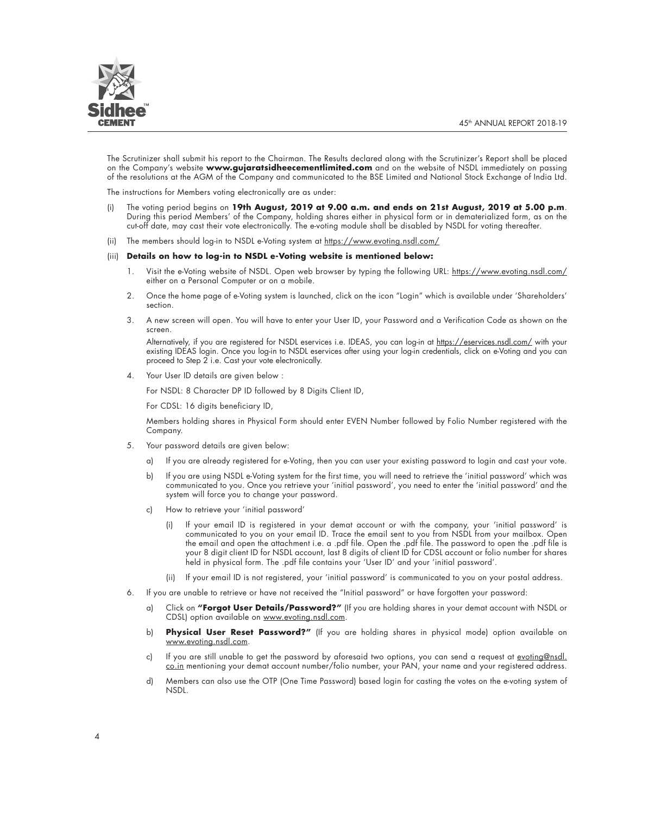

The Scrutinizer shall submit his report to the Chairman. The Results declared along with the Scrutinizer's Report shall be placed on the Company's website **www.gujaratsidheecementlimited.com** and on the website of NSDL immediately on passing of the resolutions at the AGM of the Company and communicated to the BSE Limited and National Stock Exchange of India Ltd.

The instructions for Members voting electronically are as under:

- (i) The voting period begins on **19th August, 2019 at 9.00 a.m. and ends on 21st August, 2019 at 5.00 p.m**. During this period Members' of the Company, holding shares either in physical form or in dematerialized form, as on the cut-off date, may cast their vote electronically. The e-voting module shall be disabled by NSDL for voting thereafter.
- (ii) The members should log-in to NSDL e-Voting system at https://www.evoting.nsdl.com/

#### (iii) **Details on how to log-in to NSDL e-Voting website is mentioned below:**

- 1. Visit the e-Voting website of NSDL. Open web browser by typing the following URL: https://www.evoting.nsdl.com/ either on a Personal Computer or on a mobile.
- 2. Once the home page of e-Voting system is launched, click on the icon "Login" which is available under 'Shareholders' section.
- 3. A new screen will open. You will have to enter your User ID, your Password and a Verification Code as shown on the screen.

Alternatively, it you are registered tor NSDL eservices i.e. IDEAS, you can log-in at <u>https://eservices.nsdl.com/</u> with your existing IDEAS login. Once you log-in to NSDL eservices after using your log-in credentials, click on e-Voting and you can proceed to Step 2 i.e. Cast your vote electronically.

4. Your User ID details are given below :

For NSDL: 8 Character DP ID followed by 8 Digits Client ID,

For CDSL: 16 digits beneficiary ID,

 Members holding shares in Physical Form should enter EVEN Number followed by Folio Number registered with the Company.

- 5. Your password details are given below:
	- a) If you are already registered for e-Voting, then you can user your existing password to login and cast your vote.
	- b) If you are using NSDL e-Voting system for the first time, you will need to retrieve the 'initial password' which was communicated to you. Once you retrieve your 'initial password', you need to enter the 'initial password' and the system will force you to change your password.
	- c) How to retrieve your 'initial password'
		- (i) If your email ID is registered in your demat account or with the company, your 'initial password' is communicated to you on your email ID. Trace the email sent to you from NSDL from your mailbox. Open the email and open the attachment i.e. a .pdf file. Open the .pdf file. The password to open the .pdf file is your 8 digit client ID for NSDL account, last 8 digits of client ID for CDSL account or folio number for shares held in physical form. The .pdf file contains your 'User ID' and your 'initial password'.
		- (ii) If your email ID is not registered, your 'initial password' is communicated to you on your postal address.
- 6. If you are unable to retrieve or have not received the "Initial password" or have forgotten your password:
	- a) Click on **"Forgot User Details/Password?"** (If you are holding shares in your demat account with NSDL or CDSL) option available on www.evoting.nsdl.com.
	- b) **Physical User Reset Password?"** (If you are holding shares in physical mode) option available on www.evoting.nsdl.com.
	- c) If you are still unable to get the password by aforesaid two options, you can send a request at evoting@nsdl. co.in mentioning your demat account number/folio number, your PAN, your name and your registered address.
	- d) Members can also use the OTP (One Time Password) based login for casting the votes on the e-voting system of NSDL.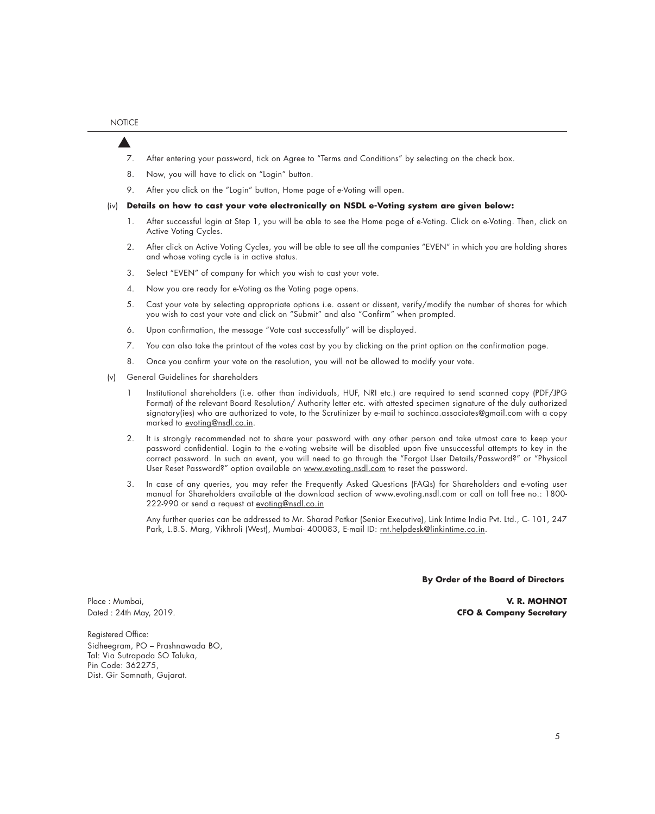- 7. After entering your password, tick on Agree to "Terms and Conditions" by selecting on the check box.
- 8. Now, you will have to click on "Login" button.
- 9. After you click on the "Login" button, Home page of e-Voting will open.
- (iv) **Details on how to cast your vote electronically on NSDL e-Voting system are given below:**
	- 1. After successful login at Step 1, you will be able to see the Home page of e-Voting. Click on e-Voting. Then, click on Active Voting Cycles.
	- 2. After click on Active Voting Cycles, you will be able to see all the companies "EVEN" in which you are holding shares and whose voting cycle is in active status.
	- 3. Select "EVEN" of company for which you wish to cast your vote.
	- 4. Now you are ready for e-Voting as the Voting page opens.
	- 5. Cast your vote by selecting appropriate options i.e. assent or dissent, verify/modify the number of shares for which you wish to cast your vote and click on "Submit" and also "Confirm" when prompted.
	- 6. Upon confirmation, the message "Vote cast successfully" will be displayed.
	- 7. You can also take the printout of the votes cast by you by clicking on the print option on the confirmation page.
	- 8. Once you confirm your vote on the resolution, you will not be allowed to modify your vote.
- (v) General Guidelines for shareholders
	- 1 Institutional shareholders (i.e. other than individuals, HUF, NRI etc.) are required to send scanned copy (PDF/JPG Format) of the relevant Board Resolution/ Authority letter etc. with attested specimen signature of the duly authorized signatory(ies) who are authorized to vote, to the Scrutinizer by e-mail to sachinca.associates@gmail.com with a copy marked to evoting@nsdl.co.in.
	- 2. It is strongly recommended not to share your password with any other person and take utmost care to keep your password confidential. Login to the e-voting website will be disabled upon five unsuccessful attempts to key in the correct password. In such an event, you will need to go through the "Forgot User Details/Password?" or "Physical User Reset Password?" option available on www.evoting.nsdl.com to reset the password.
	- 3. In case of any queries, you may refer the Frequently Asked Questions (FAQs) for Shareholders and e-voting user manual for Shareholders available at the download section of www.evoting.nsdl.com or call on toll free no.: 1800- 222-990 or send a request at evoting@nsdl.co.in

 Any further queries can be addressed to Mr. Sharad Patkar (Senior Executive), Link Intime India Pvt. Ltd., C- 101, 247 Park, L.B.S. Marg, Vikhroli (West), Mumbai- 400083, E-mail ID: rnt.helpdesk@linkintime.co.in.

**By Order of the Board of Directors**

Place : Mumbai, **V. R. MOHNOT** Dated : 24th May, 2019. **CFO & Company Secretary**

Registered Office: Sidheegram, PO – Prashnawada BO, Tal: Via Sutrapada SO Taluka, Pin Code: 362275, Dist. Gir Somnath, Gujarat.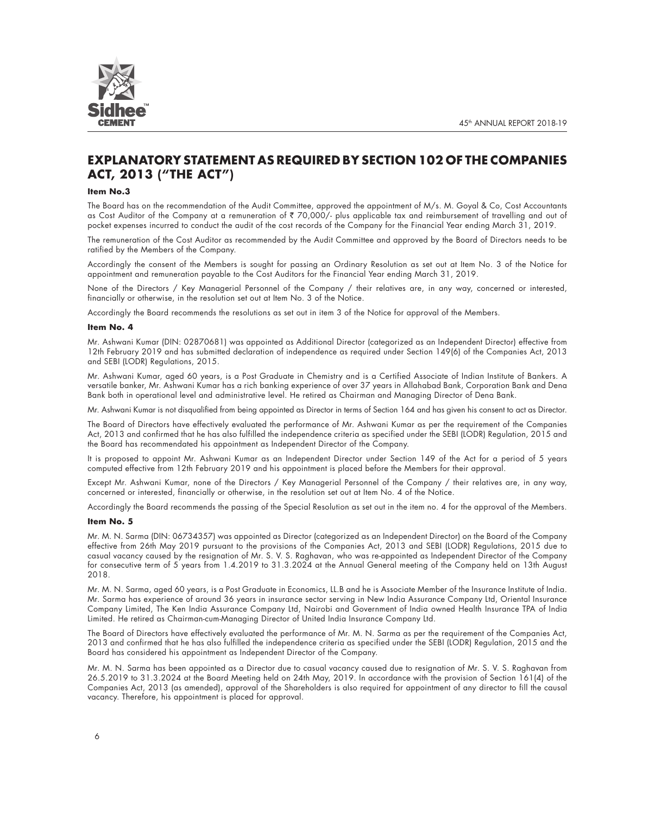

# **EXPLANATORY STATEMENT AS REQUIRED BY SECTION 102 OF THE COMPANIES ACT, 2013 ("THE ACT")**

#### **Item No.3**

The Board has on the recommendation of the Audit Committee, approved the appointment of M/s. M. Goyal & Co, Cost Accountants as Cost Auditor of the Company at a remuneration of ₹ 70,000/- plus applicable tax and reimbursement of travelling and out of pocket expenses incurred to conduct the audit of the cost records of the Company for the Financial Year ending March 31, 2019.

The remuneration of the Cost Auditor as recommended by the Audit Committee and approved by the Board of Directors needs to be ratified by the Members of the Company.

Accordingly the consent of the Members is sought for passing an Ordinary Resolution as set out at Item No. 3 of the Notice for appointment and remuneration payable to the Cost Auditors for the Financial Year ending March 31, 2019.

None of the Directors / Key Managerial Personnel of the Company / their relatives are, in any way, concerned or interested, financially or otherwise, in the resolution set out at Item No. 3 of the Notice.

Accordingly the Board recommends the resolutions as set out in item 3 of the Notice for approval of the Members.

#### **Item No. 4**

Mr. Ashwani Kumar (DIN: 02870681) was appointed as Additional Director (categorized as an Independent Director) effective from 12th February 2019 and has submitted declaration of independence as required under Section 149(6) of the Companies Act, 2013 and SEBI (LODR) Regulations, 2015.

Mr. Ashwani Kumar, aged 60 years, is a Post Graduate in Chemistry and is a Certified Associate of Indian Institute of Bankers. A versatile banker, Mr. Ashwani Kumar has a rich banking experience of over 37 years in Allahabad Bank, Corporation Bank and Dena Bank both in operational level and administrative level. He retired as Chairman and Managing Director of Dena Bank.

Mr. Ashwani Kumar is not disqualified from being appointed as Director in terms of Section 164 and has given his consent to act as Director.

The Board of Directors have effectively evaluated the performance of Mr. Ashwani Kumar as per the requirement of the Companies Act, 2013 and confirmed that he has also fulfilled the independence criteria as specified under the SEBI (LODR) Regulation, 2015 and the Board has recommendated his appointment as Independent Director of the Company.

It is proposed to appoint Mr. Ashwani Kumar as an Independent Director under Section 149 of the Act for a period of 5 years computed effective from 12th February 2019 and his appointment is placed before the Members for their approval.

Except Mr. Ashwani Kumar, none of the Directors / Key Managerial Personnel of the Company / their relatives are, in any way, concerned or interested, financially or otherwise, in the resolution set out at Item No. 4 of the Notice.

Accordingly the Board recommends the passing of the Special Resolution as set out in the item no. 4 for the approval of the Members.

#### **Item No. 5**

Mr. M. N. Sarma (DIN: 06734357) was appointed as Director (categorized as an Independent Director) on the Board of the Company effective from 26th May 2019 pursuant to the provisions of the Companies Act, 2013 and SEBI (LODR) Regulations, 2015 due to casual vacancy caused by the resignation of Mr. S. V. S. Raghavan, who was re-appointed as Independent Director of the Company for consecutive term of 5 years from 1.4.2019 to 31.3.2024 at the Annual General meeting of the Company held on 13th August 2018.

Mr. M. N. Sarma, aged 60 years, is a Post Graduate in Economics, LL.B and he is Associate Member of the Insurance Institute of India. Mr. Sarma has experience of around 36 years in insurance sector serving in New India Assurance Company Ltd, Oriental Insurance Company Limited, The Ken India Assurance Company Ltd, Nairobi and Government of India owned Health Insurance TPA of India Limited. He retired as Chairman-cum-Managing Director of United India Insurance Company Ltd.

The Board of Directors have effectively evaluated the performance of Mr. M. N. Sarma as per the requirement of the Companies Act, 2013 and confirmed that he has also fulfilled the independence criteria as specified under the SEBI (LODR) Regulation, 2015 and the Board has considered his appointment as Independent Director of the Company.

Mr. M. N. Sarma has been appointed as a Director due to casual vacancy caused due to resignation of Mr. S. V. S. Raghavan from 26.5.2019 to 31.3.2024 at the Board Meeting held on 24th May, 2019. In accordance with the provision of Section 161(4) of the Companies Act, 2013 (as amended), approval of the Shareholders is also required for appointment of any director to fill the causal vacancy. Therefore, his appointment is placed for approval.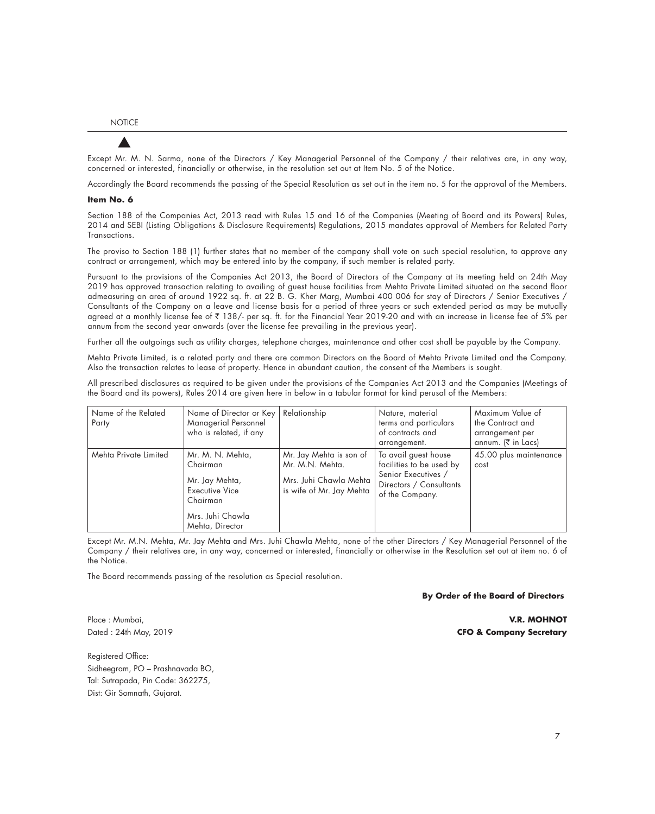Except Mr. M. N. Sarma, none of the Directors / Key Managerial Personnel of the Company / their relatives are, in any way, concerned or interested, financially or otherwise, in the resolution set out at Item No. 5 of the Notice.

Accordingly the Board recommends the passing of the Special Resolution as set out in the item no. 5 for the approval of the Members.

#### **Item No. 6**

Section 188 of the Companies Act, 2013 read with Rules 15 and 16 of the Companies (Meeting of Board and its Powers) Rules, 2014 and SEBI (Listing Obligations & Disclosure Requirements) Regulations, 2015 mandates approval of Members for Related Party Transactions.

The proviso to Section 188 (1) further states that no member of the company shall vote on such special resolution, to approve any contract or arrangement, which may be entered into by the company, if such member is related party.

Pursuant to the provisions of the Companies Act 2013, the Board of Directors of the Company at its meeting held on 24th May 2019 has approved transaction relating to availing of guest house facilities from Mehta Private Limited situated on the second floor admeasuring an area of around 1922 sq. ft. at 22 B. G. Kher Marg, Mumbai 400 006 for stay of Directors / Senior Executives / Consultants of the Company on a leave and license basis for a period of three years or such extended period as may be mutually agreed at a monthly license fee of ₹ 138/- per sq. ft. for the Financial Year 2019-20 and with an increase in license fee of 5% per annum from the second year onwards (over the license fee prevailing in the previous year).

Further all the outgoings such as utility charges, telephone charges, maintenance and other cost shall be payable by the Company.

Mehta Private Limited, is a related party and there are common Directors on the Board of Mehta Private Limited and the Company. Also the transaction relates to lease of property. Hence in abundant caution, the consent of the Members is sought.

All prescribed disclosures as required to be given under the provisions of the Companies Act 2013 and the Companies (Meetings of the Board and its powers), Rules 2014 are given here in below in a tabular format for kind perusal of the Members:

| Name of the Related<br>Party | Name of Director or Key<br>Managerial Personnel<br>who is related, if any                                                  | Relationship                                                                                     | Nature, material<br>terms and particulars<br>of contracts and<br>arrangement.                                         | Maximum Value of<br>the Contract and<br>arrangement per<br>annum. $(\bar{\bar{\zeta}})$ in Lacs) |
|------------------------------|----------------------------------------------------------------------------------------------------------------------------|--------------------------------------------------------------------------------------------------|-----------------------------------------------------------------------------------------------------------------------|--------------------------------------------------------------------------------------------------|
| Mehta Private Limited        | Mr. M. N. Mehta,<br>Chairman<br>Mr. Jay Mehta,<br><b>Executive Vice</b><br>Chairman<br>Mrs. Juhi Chawla<br>Mehta, Director | Mr. Jay Mehta is son of<br>Mr. M.N. Mehta.<br>Mrs. Juhi Chawla Mehta<br>is wife of Mr. Jay Mehta | To avail guest house<br>facilities to be used by<br>Senior Executives /<br>Directors / Consultants<br>of the Company. | 45.00 plus maintenance<br>cost                                                                   |

Except Mr. M.N. Mehta, Mr. Jay Mehta and Mrs. Juhi Chawla Mehta, none of the other Directors / Key Managerial Personnel of the Company / their relatives are, in any way, concerned or interested, financially or otherwise in the Resolution set out at item no. 6 of the Notice.

The Board recommends passing of the resolution as Special resolution.

#### **By Order of the Board of Directors**

Registered Office: Sidheegram, PO – Prashnavada BO, Tal: Sutrapada, Pin Code: 362275, Dist: Gir Somnath, Gujarat.

Place : Mumbai, **V.R. MOHNOT** Dated : 24th May, 2019 **CFO & Company Secretary**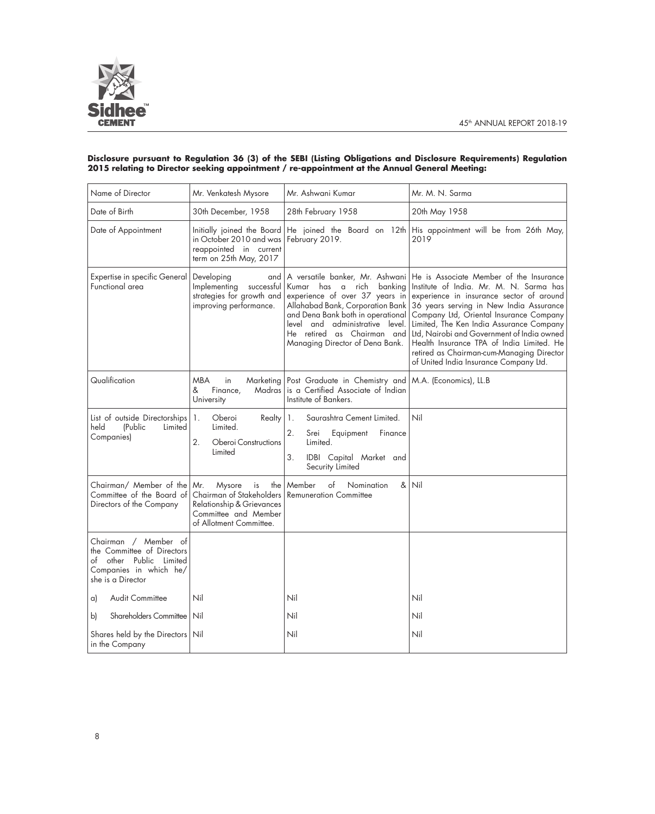

### **Disclosure pursuant to Regulation 36 (3) of the SEBI (Listing Obligations and Disclosure Requirements) Regulation 2015 relating to Director seeking appointment / re-appointment at the Annual General Meeting:**

| Name of Director                                                                                                             | Mr. Venkatesh Mysore                                                                                                                   | Mr. Ashwani Kumar                                                                                                                                                                                                                                                             | Mr. M. N. Sarma                                                                                                                                                                                                                                                                                                                                                                                                                                    |
|------------------------------------------------------------------------------------------------------------------------------|----------------------------------------------------------------------------------------------------------------------------------------|-------------------------------------------------------------------------------------------------------------------------------------------------------------------------------------------------------------------------------------------------------------------------------|----------------------------------------------------------------------------------------------------------------------------------------------------------------------------------------------------------------------------------------------------------------------------------------------------------------------------------------------------------------------------------------------------------------------------------------------------|
| Date of Birth                                                                                                                | 30th December, 1958                                                                                                                    | 28th February 1958                                                                                                                                                                                                                                                            | 20th May 1958                                                                                                                                                                                                                                                                                                                                                                                                                                      |
| Date of Appointment                                                                                                          | Initially joined the Board<br>in October 2010 and was<br>reappointed in current<br>term on 25th May, 2017                              | He joined the Board on 12th<br>February 2019.                                                                                                                                                                                                                                 | His appointment will be from 26th May,<br>2019                                                                                                                                                                                                                                                                                                                                                                                                     |
| Expertise in specific General<br>Functional area                                                                             | Developing<br>and<br>Implementing<br>successful<br>strategies for growth and<br>improving performance.                                 | A versatile banker, Mr. Ashwani<br>Kumar has a rich<br>bankina<br>experience of over 37 years in<br>Allahabad Bank, Corporation Bank<br>and Dena Bank both in operational<br>level and administrative level.<br>He retired as Chairman and<br>Managing Director of Dena Bank. | He is Associate Member of the Insurance<br>Institute of India. Mr. M. N. Sarma has<br>experience in insurance sector of around<br>36 years serving in New India Assurance<br>Company Ltd, Oriental Insurance Company<br>Limited, The Ken India Assurance Company<br>Ltd, Nairobi and Government of India owned<br>Health Insurance TPA of India Limited. He<br>retired as Chairman-cum-Managing Director<br>of United India Insurance Company Ltd. |
| Qualification                                                                                                                | <b>MBA</b><br>in<br>Marketing<br>Finance,<br>&<br>Madras<br>University                                                                 | Post Graduate in Chemistry and<br>is a Certified Associate of Indian<br>Institute of Bankers.                                                                                                                                                                                 | M.A. (Economics), LL.B                                                                                                                                                                                                                                                                                                                                                                                                                             |
| List of outside Directorships<br>held<br>(Public<br>Limited<br>Companies)                                                    | Oberoi<br>Realty<br>1.<br>Limited.<br>2.<br>Oberoi Constructions<br>Limited                                                            | Saurashtra Cement Limited.<br>1.<br>2.<br>Equipment<br>Finance<br>Srei<br>Limited.<br>3.<br>IDBI Capital Market and<br>Security Limited                                                                                                                                       | Nil                                                                                                                                                                                                                                                                                                                                                                                                                                                |
| Chairman/ Member of the<br>Committee of the Board of<br>Directors of the Company                                             | Mr.<br>Mysore<br>the<br>is<br>Chairman of Stakeholders<br>Relationship & Grievances<br>Committee and Member<br>of Allotment Committee. | of<br>&<br>Member<br>Nomination<br><b>Remuneration Committee</b>                                                                                                                                                                                                              | Nil                                                                                                                                                                                                                                                                                                                                                                                                                                                |
| Chairman / Member of<br>the Committee of Directors<br>of other Public Limited<br>Companies in which he/<br>she is a Director |                                                                                                                                        |                                                                                                                                                                                                                                                                               |                                                                                                                                                                                                                                                                                                                                                                                                                                                    |
| <b>Audit Committee</b><br>a)                                                                                                 | Nil                                                                                                                                    | Nil                                                                                                                                                                                                                                                                           | Nil                                                                                                                                                                                                                                                                                                                                                                                                                                                |
| Shareholders Committee<br>b)                                                                                                 | Nil                                                                                                                                    | Nil                                                                                                                                                                                                                                                                           | Nil                                                                                                                                                                                                                                                                                                                                                                                                                                                |
| Shares held by the Directors   Nil<br>in the Company                                                                         |                                                                                                                                        | Nil                                                                                                                                                                                                                                                                           | Nil                                                                                                                                                                                                                                                                                                                                                                                                                                                |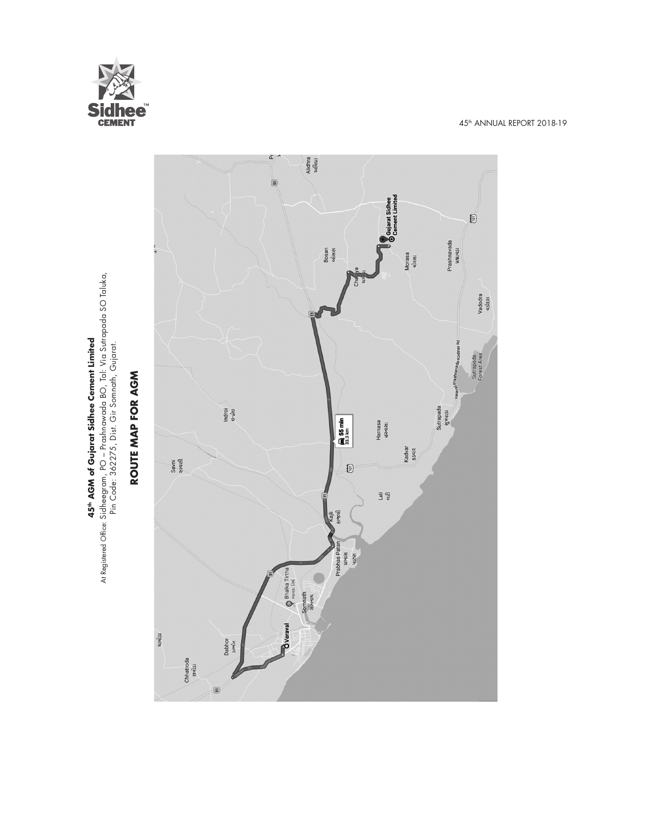

**45th AGM of Gujarat Sidhee Cement Limited** At Registered Office: Sidheegram, PO – Prashnawada BO, Tal: Via Sutrapada SO Taluka, Pin Code: 362275, Dist. Gir Somnath, Gujarat.

**45th AGM of Gujarat Sidhee Cement Limited**<br>At Registered Office: Sidheegram, PO – Prashnawada BO, Tal: Via Sutrapada SO Taluka,<br>Pin Code: 362275, Dist. Gir Somnath, Gujarat.

 $\tilde{\mathbf{p}}$ Alidhra<br>અલિધ્રા  $\frac{1}{2}$ Gujarat Sidhee<br>Ocement Limited  $\mathbb{B}$ Prashnavada<br>walqsi Bosan<br>બોસણ Morasa<br>મોરસા Vadodra<br>4slta1 Sutrapada<br>Forest Area ROUTE MAP FOR AGM **ROUTE MAP FOR AGM** Sutrapada<br>સુત્રપાડા Indroi<br><sub>Stri</sub>lis  $\bigoplus_{33.3 \text{ km}}$ 55 min Harnasa<br>હરનાસા Kadvar<br>ssqiz Savni<br>સાવણી 0  $\frac{1}{\alpha} \frac{d\beta}{d\beta}$ ાજલી Prabhas Patar ière<br>Kish Bhalka Tirtha Somnath<br>સોમનાથ **B**Veraval ચામોડા Dabhor<br>steile Chhatroda<br><sub>galsl</sub>  $\overline{\mathbf{5}}$ 

45th ANNUAL REPORT 2018-19